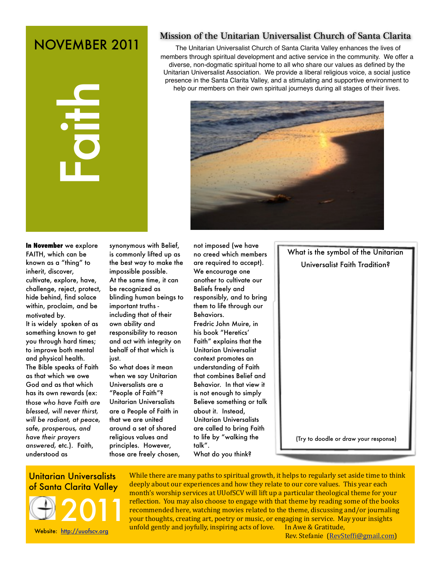# NOVEMBER 2011



# Mission of the Unitarian Universalist Church of Santa Clarita

The Unitarian Universalist Church of Santa Clarita Valley enhances the lives of members through spiritual development and active service in the community. We offer a diverse, non-dogmatic spiritual home to all who share our values as defined by the Unitarian Universalist Association. We provide a liberal religious voice, a social justice presence in the Santa Clarita Valley, and a stimulating and supportive environment to help our members on their own spiritual journeys during all stages of their lives.



**In November** we explore FAITH, which can be known as a "thing" to inherit, discover, cultivate, explore, have, challenge, reject, protect, hide behind, find solace within, proclaim, and be motivated by.

It is widely spoken of as something known to get you through hard times; to improve both mental and physical health. The Bible speaks of Faith as that which we owe God and as that which has its own rewards (ex: t*hose who have Faith are blessed, will never thirst, will be radiant, at peace, safe, prosperous, and have their prayers answered,* etc.). Faith, understood as

synonymous with Belief, is commonly lifted up as the best way to make the impossible possible. At the same time, it can be recognized as blinding human beings to important truths including that of their own ability and responsibility to reason and act with integrity on behalf of that which is just.

So what does it mean when we say Unitarian Universalists are a "People of Faith"? Unitarian Universalists are a People of Faith in that we are united around a set of shared religious values and principles. However, those are freely chosen,

not imposed (we have no creed which members are required to accept). We encourage one another to cultivate our Beliefs freely and responsibly, and to bring them to life through our **Behaviors** 

Fredric John Muire, in his book "Heretics' Faith" explains that the Unitarian Universalist context promotes an understanding of Faith that combines Belief and Behavior. In that view it is not enough to simply Believe something or talk about it. Instead, Unitarian Universalists are called to bring Faith to life by "walking the talk".

What do you think?

What is the symbol of the Unitarian Universalist Faith Tradition?

(Try to doodle or draw your response)

# Unitarian Universalists



While there are many paths to spiritual growth, it helps to regularly set aside time to think deeply about our experiences and how they relate to our core values. This year each month's worship services at UUofSCV will lift up a particular theological theme for your reflection. You may also choose to engage with that theme by reading some of the books recommended here, watching movies related to the theme, discussing and/or journaling your thoughts, creating art, poetry or music, or engaging in service. May your insights unfold gently and joyfully, inspiring acts of love. In Awe & Gratitude,

Rev. Stefanie (RevSteffi@gmail.com)